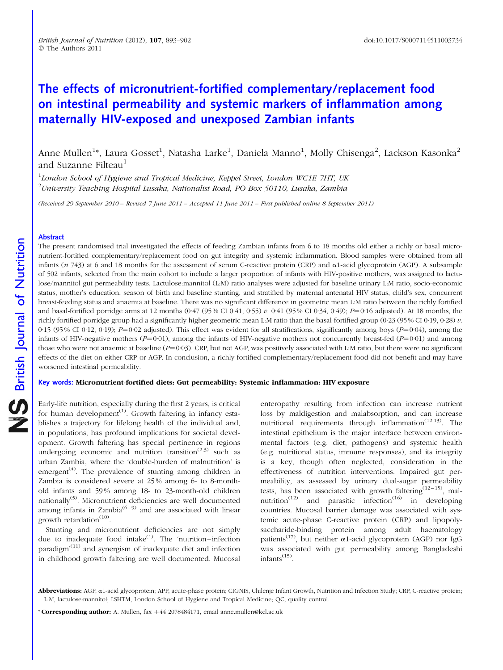# The effects of micronutrient-fortified complementary/replacement food on intestinal permeability and systemic markers of inflammation among maternally HIV-exposed and unexposed Zambian infants

Anne Mullen $^{1*}$ , Laura Gosset $^{1}$ , Natasha Larke $^{1}$ , Daniela Manno $^{1}$ , Molly Chisenga $^{2}$ , Lackson Kasonka $^{2}$ and Suzanne Filteau $^1$ 

 $1$ London School of Hygiene and Tropical Medicine, Keppel Street, London WC1E 7HT, UK  $^{2}$ University Teaching Hospital Lusaka, Nationalist Road, PO Box 50110, Lusaka, Zambia

(Received 29 September 2010 – Revised 7 June 2011 – Accepted 11 June 2011 – First published online 8 September 2011)

## Abstract

The present randomised trial investigated the effects of feeding Zambian infants from 6 to 18 months old either a richly or basal micronutrient-fortified complementary/replacement food on gut integrity and systemic inflammation. Blood samples were obtained from all infants ( $n$  743) at 6 and 18 months for the assessment of serum C-reactive protein (CRP) and  $\alpha$ 1-acid glycoprotein (AGP). A subsample of 502 infants, selected from the main cohort to include a larger proportion of infants with HIV-positive mothers, was assigned to lactulose/mannitol gut permeability tests. Lactulose:mannitol (L:M) ratio analyses were adjusted for baseline urinary L:M ratio, socio-economic status, mother's education, season of birth and baseline stunting, and stratified by maternal antenatal HIV status, child's sex, concurrent breast-feeding status and anaemia at baseline. There was no significant difference in geometric mean L:M ratio between the richly fortified and basal-fortified porridge arms at 12 months  $(0.47 (95\% \text{ CI } 0.41, 0.55) \nu, 0.41 (95\% \text{ CI } 0.34, 0.49); P=0.16$  adjusted). At 18 months, the richly fortified porridge group had a significantly higher geometric mean L:M ratio than the basal-fortified group (0·23 (95 % CI 0·19, 0·28)  $v$ . 0.15 (95% CI 0.12, 0.19);  $P=0.02$  adjusted). This effect was evident for all stratifications, significantly among boys ( $P=0.04$ ), among the infants of HIV-negative mothers ( $P=0.01$ ), among the infants of HIV-negative mothers not concurrently breast-fed ( $P=0.01$ ) and among those who were not anaemic at baseline  $(P=0.03)$ . CRP, but not AGP, was positively associated with L:M ratio, but there were no significant effects of the diet on either CRP or AGP. In conclusion, a richly fortified complementary/replacement food did not benefit and may have worsened intestinal permeability.

## Key words: Micronutrient-fortified diets: Gut permeability: Systemic inflammation: HIV exposure

Early-life nutrition, especially during the first 2 years, is critical for human development<sup>(1)</sup>. Growth faltering in infancy establishes a trajectory for lifelong health of the individual and, in populations, has profound implications for societal development. Growth faltering has special pertinence in regions undergoing economic and nutrition transition<sup> $(2,3)$ </sup> such as urban Zambia, where the 'double-burden of malnutrition' is emergent<sup> $(4)$ </sup>. The prevalence of stunting among children in Zambia is considered severe at 25 % among 6- to 8-monthold infants and 59 % among 18- to 23-month-old children nationally<sup>(5)</sup>. Micronutrient deficiencies are well documented among infants in Zambia<sup>(6–9)</sup> and are associated with linear growth retardation $(10)$ .

Stunting and micronutrient deficiencies are not simply due to inadequate food intake $^{(1)}$ . The 'nutrition–infection paradigm<sup> $(11)$ </sup> and synergism of inadequate diet and infection in childhood growth faltering are well documented. Mucosal

enteropathy resulting from infection can increase nutrient loss by maldigestion and malabsorption, and can increase nutritional requirements through inflammation<sup> $(12,13)$ </sup>. The intestinal epithelium is the major interface between environmental factors (e.g. diet, pathogens) and systemic health (e.g. nutritional status, immune responses), and its integrity is a key, though often neglected, consideration in the effectiveness of nutrition interventions. Impaired gut permeability, as assessed by urinary dual-sugar permeability tests, has been associated with growth faltering<sup>(12–15)</sup>, malnutrition<sup>(12)</sup> and parasitic infection<sup>(16)</sup> in developing countries. Mucosal barrier damage was associated with systemic acute-phase C-reactive protein (CRP) and lipopolysaccharide-binding protein among adult haematology patients<sup>(17)</sup>, but neither  $\alpha$ 1-acid glycoprotein (AGP) nor IgG was associated with gut permeability among Bangladeshi infants<sup>(15)</sup>.

\* Corresponding author: A. Mullen,  $\text{fax} + 44$  2078484171, email anne.mullen@kcl.ac.uk

Abbreviations: AGP,  $\alpha$ 1-acid glycoprotein; APP, acute-phase protein; CIGNIS, Chilenje Infant Growth, Nutrition and Infection Study; CRP, C-reactive protein; L:M, lactulose:mannitol; LSHTM, London School of Hygiene and Tropical Medicine; QC, quality control.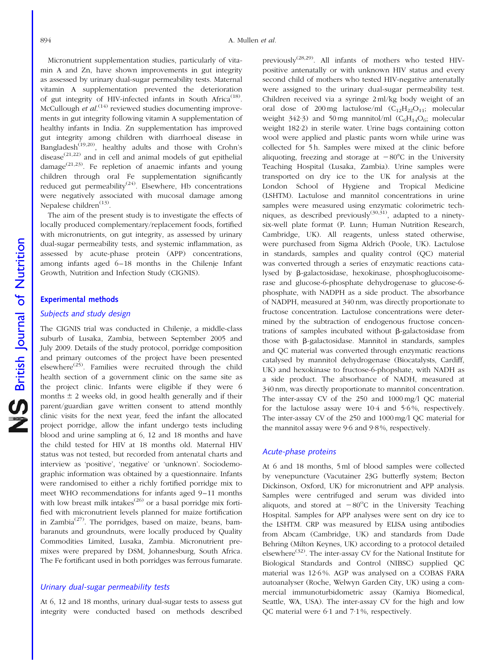Micronutrient supplementation studies, particularly of vitamin A and Zn, have shown improvements in gut integrity as assessed by urinary dual-sugar permeability tests. Maternal vitamin A supplementation prevented the deterioration of gut integrity of HIV-infected infants in South Africa<sup>(18)</sup>. McCullough et  $al^{(14)}$  reviewed studies documenting improvements in gut integrity following vitamin A supplementation of healthy infants in India. Zn supplementation has improved gut integrity among children with diarrhoeal disease in Bangladesh<sup>(19,20)</sup>, healthy adults and those with Crohn's disease<sup> $(21,22)$ </sup> and in cell and animal models of gut epithelial damage<sup>(21,23)</sup>. Fe repletion of anaemic infants and young children through oral Fe supplementation significantly reduced gut permeability<sup>(24)</sup>. Elsewhere, Hb concentrations were negatively associated with mucosal damage among Nepalese children<sup>(13)</sup>.

The aim of the present study is to investigate the effects of locally produced complementary/replacement foods, fortified with micronutrients, on gut integrity, as assessed by urinary dual-sugar permeability tests, and systemic inflammation, as assessed by acute-phase protein (APP) concentrations, among infants aged 6–18 months in the Chilenje Infant Growth, Nutrition and Infection Study (CIGNIS).

## Experimental methods

## Subjects and study design

The CIGNIS trial was conducted in Chilenje, a middle-class suburb of Lusaka, Zambia, between September 2005 and July 2009. Details of the study protocol, porridge composition and primary outcomes of the project have been presented elsewhere<sup>(25)</sup>. Families were recruited through the child health section of a government clinic on the same site as the project clinic. Infants were eligible if they were 6 months  $\pm$  2 weeks old, in good health generally and if their parent/guardian gave written consent to attend monthly clinic visits for the next year, feed the infant the allocated project porridge, allow the infant undergo tests including blood and urine sampling at 6, 12 and 18 months and have the child tested for HIV at 18 months old. Maternal HIV status was not tested, but recorded from antenatal charts and interview as 'positive', 'negative' or 'unknown'. Sociodemographic information was obtained by a questionnaire. Infants were randomised to either a richly fortified porridge mix to meet WHO recommendations for infants aged 9–11 months with low breast milk intakes<sup> $(26)$ </sup> or a basal porridge mix fortified with micronutrient levels planned for maize fortification in Zambia<sup> $(27)$ </sup>. The porridges, based on maize, beans, bambaranuts and groundnuts, were locally produced by Quality Commodities Limited, Lusaka, Zambia. Micronutrient premixes were prepared by DSM, Johannesburg, South Africa. The Fe fortificant used in both porridges was ferrous fumarate.

## Urinary dual-sugar permeability tests

At 6, 12 and 18 months, urinary dual-sugar tests to assess gut integrity were conducted based on methods described

previously<sup>(28,29)</sup>. All infants of mothers who tested HIVpositive antenatally or with unknown HIV status and every second child of mothers who tested HIV-negative antenatally were assigned to the urinary dual-sugar permeability test. Children received via a syringe 2 ml/kg body weight of an oral dose of 200 mg lactulose/ml  $(C_{12}H_{22}O_{11};$  molecular weight  $342·3$ ) and  $50 \text{ mg}$  mannitol/ml (C<sub>6</sub>H<sub>14</sub>O<sub>6</sub>; molecular weight 182·2) in sterile water. Urine bags containing cotton wool were applied and plastic pants worn while urine was collected for 5h. Samples were mixed at the clinic before aliquoting, freezing and storage at  $-80^{\circ}$ C in the University Teaching Hospital (Lusaka, Zambia). Urine samples were transported on dry ice to the UK for analysis at the London School of Hygiene and Tropical Medicine (LSHTM). Lactulose and mannitol concentrations in urine samples were measured using enzymatic colorimetric techniques, as described previously<sup>(30,31)</sup>, adapted to a ninetysix-well plate format (P. Lunn; Human Nutrition Research, Cambridge, UK). All reagents, unless stated otherwise, were purchased from Sigma Aldrich (Poole, UK). Lactulose in standards, samples and quality control (QC) material was converted through a series of enzymatic reactions catalysed by  $\beta$ -galactosidase, hexokinase, phosphoglucoisomerase and glucose-6-phosphate dehydrogenase to glucose-6 phosphate, with NADPH as a side product. The absorbance of NADPH, measured at 340 nm, was directly proportionate to fructose concentration. Lactulose concentrations were determined by the subtraction of endogenous fructose concentrations of samples incubated without  $\beta$ -galactosidase from those with  $\beta$ -galactosidase. Mannitol in standards, samples and QC material was converted through enzymatic reactions catalysed by mannitol dehydrogenase (Biocatalysts, Cardiff, UK) and hexokinase to fructose-6-phopshate, with NADH as a side product. The absorbance of NADH, measured at 340 nm, was directly proportionate to mannitol concentration. The inter-assay CV of the 250 and 1000 mg/l QC material for the lactulose assay were 10·4 and 5·6 %, respectively. The inter-assay CV of the 250 and 1000 mg/l QC material for the mannitol assay were 9·6 and 9·8 %, respectively.

## Acute-phase proteins

At 6 and 18 months, 5 ml of blood samples were collected by venepuncture (Vacutainer 23G butterfly system; Becton Dickinson, Oxford, UK) for micronutrient and APP analysis. Samples were centrifuged and serum was divided into aliquots, and stored at  $-80^{\circ}$ C in the University Teaching Hospital. Samples for APP analyses were sent on dry ice to the LSHTM. CRP was measured by ELISA using antibodies from Abcam (Cambridge, UK) and standards from Dade Behring (Milton Keynes, UK) according to a protocol detailed elsewhere<sup>(32)</sup>. The inter-assay CV for the National Institute for Biological Standards and Control (NIBSC) supplied QC material was 12·6 %. AGP was analysed on a COBAS FARA autoanalyser (Roche, Welwyn Garden City, UK) using a commercial immunoturbidometric assay (Kamiya Biomedical, Seattle, WA, USA). The inter-assay CV for the high and low QC material were 6·1 and 7·1 %, respectively.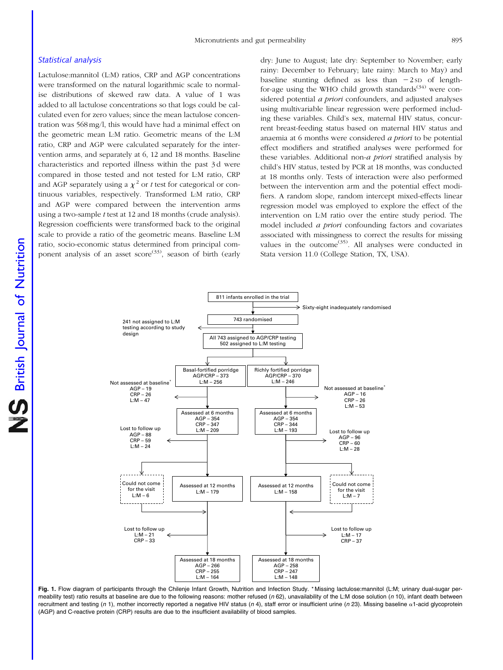#### <span id="page-2-0"></span>Statistical analysis

Lactulose:mannitol (L:M) ratios, CRP and AGP concentrations were transformed on the natural logarithmic scale to normalise distributions of skewed raw data. A value of 1 was added to all lactulose concentrations so that logs could be calculated even for zero values; since the mean lactulose concentration was 568 mg/l, this would have had a minimal effect on the geometric mean L:M ratio. Geometric means of the L:M ratio, CRP and AGP were calculated separately for the intervention arms, and separately at 6, 12 and 18 months. Baseline characteristics and reported illness within the past 3 d were compared in those tested and not tested for L:M ratio, CRP and AGP separately using a  $\chi^2$  or t test for categorical or continuous variables, respectively. Transformed L:M ratio, CRP and AGP were compared between the intervention arms using a two-sample t test at 12 and 18 months (crude analysis). Regression coefficients were transformed back to the original scale to provide a ratio of the geometric means. Baseline L:M ratio, socio-economic status determined from principal component analysis of an asset score<sup>(33)</sup>, season of birth (early

dry: June to August; late dry: September to November; early rainy: December to February; late rainy: March to May) and baseline stunting defined as less than  $-2$  sp of lengthfor-age using the WHO child growth standards<sup> $(34)$ </sup> were considered potential *a priori* confounders, and adjusted analyses using multivariable linear regression were performed including these variables. Child's sex, maternal HIV status, concurrent breast-feeding status based on maternal HIV status and anaemia at 6 months were considered a priori to be potential effect modifiers and stratified analyses were performed for these variables. Additional non-a priori stratified analysis by child's HIV status, tested by PCR at 18 months, was conducted at 18 months only. Tests of interaction were also performed between the intervention arm and the potential effect modifiers. A random slope, random intercept mixed-effects linear regression model was employed to explore the effect of the intervention on L:M ratio over the entire study period. The model included a priori confounding factors and covariates associated with missingness to correct the results for missing values in the outcome<sup> $(35)$ </sup>. All analyses were conducted in Stata version 11.0 (College Station, TX, USA).



Fig. 1. Flow diagram of participants through the Chilenje Infant Growth, Nutrition and Infection Study. \* Missing lactulose:mannitol (L:M; urinary dual-sugar permeability test) ratio results at baseline are due to the following reasons: mother refused ( $n$  62), unavailability of the L:M dose solution ( $n$  10), infant death between recruitment and testing (n 1), mother incorrectly reported a negative HIV status (n 4), staff error or insufficient urine (n 23). Missing baseline  $\alpha$ 1-acid glycoprotein (AGP) and C-reactive protein (CRP) results are due to the insufficient availability of blood samples.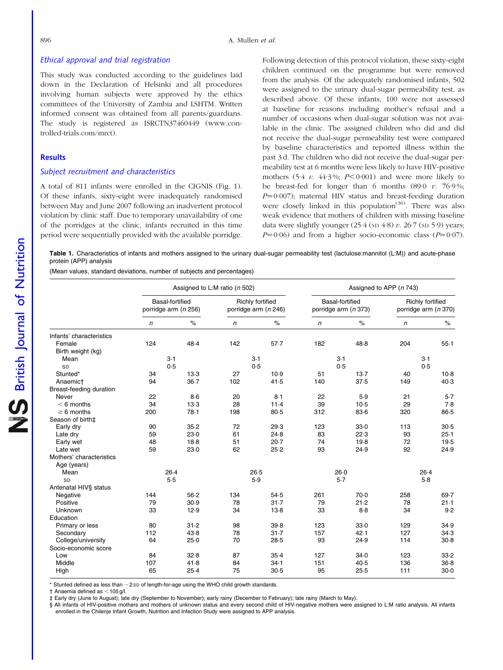## <span id="page-3-0"></span>Ethical approval and trial registration

This study was conducted according to the guidelines laid down in the Declaration of Helsinki and all procedures involving human subjects were approved by the ethics committees of the University of Zambia and LSHTM. Written informed consent was obtained from all parents/guardians. The study is registered as ISRCTN37460449 (www.controlled-trials.com/mrct).

## **Results**

## Subject recruitment and characteristics

A total of 811 infants were enrolled in the CIGNIS ([Fig. 1](#page-2-0)). Of these infants, sixty-eight were inadequately randomised between May and June 2007 following an inadvertent protocol violation by clinic staff. Due to temporary unavailability of one of the porridges at the clinic, infants recruited in this time period were sequentially provided with the available porridge.

Following detection of this protocol violation, these sixty-eight children continued on the programme but were removed from the analysis. Of the adequately randomised infants, 502 were assigned to the urinary dual-sugar permeability test, as described above. Of these infants, 100 were not assessed at baseline for reasons including mother's refusal and a number of occasions when dual-sugar solution was not available in the clinic. The assigned children who did and did not receive the dual-sugar permeability test were compared by baseline characteristics and reported illness within the past 3 d. The children who did not receive the dual-sugar permeability test at 6 months were less likely to have HIV-positive mothers (5.4 v. 44.3%;  $P \leq 0.001$ ) and were more likely to be breast-fed for longer than 6 months  $(89.0 \text{ } v. \text{ } 76.9\%;$  $P=0.007$ ); maternal HIV status and breast-feeding duration were closely linked in this population<sup> $(36)$ </sup>. There was also weak evidence that mothers of children with missing baseline data were slightly younger  $(25.4 \text{ (SD 4.8)} v. 26.7 \text{ (SD 5.9)}$  years;  $P=0.06$ ) and from a higher socio-economic class ( $P=0.07$ ).

Table 1. Characteristics of infants and mothers assigned to the urinary dual-sugar permeability test (lactulose:mannitol (L:M)) and acute-phase protein (APP) analysis

(Mean values, standard deviations, number of subjects and percentages)

|                          |                                         | Assigned to L:M ratio (n 502) |                                          | Assigned to APP (n 743) |                                         |         |                                                 |          |
|--------------------------|-----------------------------------------|-------------------------------|------------------------------------------|-------------------------|-----------------------------------------|---------|-------------------------------------------------|----------|
|                          | Basal-fortified<br>porridge arm (n 256) |                               | Richly fortified<br>porridge arm (n 246) |                         | Basal-fortified<br>porridge arm (n 373) |         | <b>Richly fortified</b><br>porridge arm (n 370) |          |
|                          | $\sqrt{n}$                              | $\%$                          | n                                        | $\%$                    | $\sqrt{n}$                              | $\%$    | $\sqrt{n}$                                      | $\%$     |
| Infants' characteristics |                                         |                               |                                          |                         |                                         |         |                                                 |          |
| Female                   | 124                                     | 48.4                          | 142                                      | 57.7                    | 182                                     | 48.8    | 204                                             | $55-1$   |
| Birth weight (kg)        |                                         |                               |                                          |                         |                                         |         |                                                 |          |
| Mean                     | $3-1$                                   |                               | $3-1$                                    |                         |                                         | $3-1$   | $3-1$                                           |          |
| SD                       | 0.5                                     |                               | 0.5                                      |                         | 0.5                                     |         | 0.5                                             |          |
| Stunted*                 | 34                                      | 13.3                          | 27                                       | 10.9                    | 51                                      | $13-7$  | 40                                              | $10-8$   |
| Anaemict                 | 94                                      | $36 - 7$                      | 102                                      | 41.5                    | 140                                     | 37.5    | 149                                             | 40.3     |
| Breast-feeding duration  |                                         |                               |                                          |                         |                                         |         |                                                 |          |
| Never                    | 22                                      | $8-6$                         | 20                                       | $8 - 1$                 | 22                                      | 5.9     | 21                                              | $5-7$    |
| $< 6$ months             | 34                                      | 13.3                          | 28                                       | 11.4                    | 39                                      | $10-5$  | 29                                              | 7.8      |
| $\geq 6$ months          | 200                                     | 78.1                          | 198                                      | 80.5                    | 312                                     | $83-6$  | 320                                             | 86-5     |
| Season of birth‡         |                                         |                               |                                          |                         |                                         |         |                                                 |          |
| Early dry                | 90                                      | $35 - 2$                      | 72                                       | 29.3                    | 123                                     | $33-0$  | 113                                             | 30.5     |
| Late dry                 | 59                                      | 23.0                          | 61                                       | 24.8                    | 83                                      | 22.3    | 93                                              | $25-1$   |
| Early wet                | 48                                      | $18-8$                        | 51                                       | 20.7                    | 74                                      | 19.8    | 72                                              | 19.5     |
| Late wet                 | 59                                      | 23.0                          | 62                                       | 25.2                    | 93                                      | 24.9    | 92                                              | 24.9     |
| Mothers' characteristics |                                         |                               |                                          |                         |                                         |         |                                                 |          |
| Age (years)              |                                         |                               |                                          |                         |                                         |         |                                                 |          |
| Mean                     | $26-4$                                  |                               | $26-5$                                   |                         |                                         | 26.0    |                                                 | $26-4$   |
| SD                       | 5.5                                     |                               | 5.9                                      |                         | 5.7                                     |         | $5-8$                                           |          |
| Antenatal HIV§ status    |                                         |                               |                                          |                         |                                         |         |                                                 |          |
| Negative                 | 144                                     | 56.2                          | 134                                      | 54.5                    | 261                                     | $70-0$  | 258                                             | 69.7     |
| Positive                 | 79                                      | 30.9                          | 78                                       | 31.7                    | 79                                      | 21.2    | 78                                              | $21 - 1$ |
| Unknown                  | 33                                      | 12.9                          | 34                                       | $13-8$                  | 33                                      | $8 - 8$ | 34                                              | 9.2      |
| Education                |                                         |                               |                                          |                         |                                         |         |                                                 |          |
| Primary or less          | 80                                      | 31.2                          | 98                                       | 39.8                    | 123                                     | 33.0    | 129                                             | 34.9     |
| Secondary                | 112                                     | 43.8                          | 78                                       | 31.7                    | 157                                     | 42.1    | 127                                             | 34.3     |
| College/university       | 64                                      | 25.0                          | 70                                       | 28.5                    | 93                                      | 24.9    | 114                                             | 30.8     |
| Socio-economic score     |                                         |                               |                                          |                         |                                         |         |                                                 |          |
| Low                      | 84                                      | 32.8                          | 87                                       | 35.4                    | 127                                     | 34.0    | 123                                             | 33.2     |
| Middle                   | 107                                     | 41.8                          | 84                                       | 34.1                    | 151                                     | 40.5    | 136                                             | $36 - 8$ |
| High                     | 65                                      | 25.4                          | 75                                       | 30.5                    | 95                                      | 25.5    | 111                                             | $30-0$   |

 $*$  Stunted defined as less than  $-2$  SD of length-for-age using the WHO child growth standards.

 $\dagger$  Anaemia defined as  $<$  105 g/l.

‡ Early dry (June to August); late dry (September to November); early rainy (December to February); late rainy (March to May).

§ All infants of HIV-positive mothers and mothers of unknown status and every second child of HIV-negative mothers were assigned to L:M ratio analysis. All infants enrolled in the Chilenje Infant Growth, Nutrition and Infection Study were assigned to APP analysis.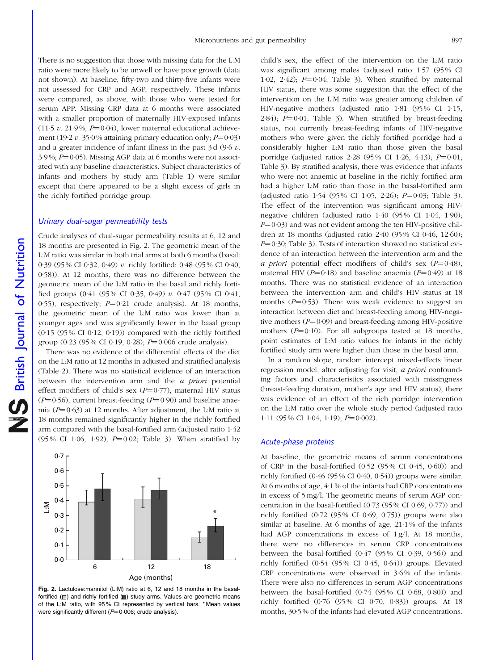There is no suggestion that those with missing data for the L:M ratio were more likely to be unwell or have poor growth (data not shown). At baseline, fifty-two and thirty-five infants were not assessed for CRP and AGP, respectively. These infants were compared, as above, with those who were tested for serum APP. Missing CRP data at 6 months were associated with a smaller proportion of maternally HIV-exposed infants (11.5  $v$ . 21.9%; P=0.04), lower maternal educational achievement (19·2  $v$ . 35·0% attaining primary education only;  $P=0.03$ ) and a greater incidence of infant illness in the past  $3 d (96 v)$ .  $3.9\%$ ;  $P=0.05$ ). Missing AGP data at 6 months were not associated with any baseline characteristics. Subject characteristics of infants and mothers by study arm ([Table 1](#page-3-0)) were similar except that there appeared to be a slight excess of girls in the richly fortified porridge group.

## Urinary dual-sugar permeability tests

Crude analyses of dual-sugar permeability results at 6, 12 and 18 months are presented in Fig. 2. The geometric mean of the L:M ratio was similar in both trial arms at both 6 months (basal: 0·39 (95 % CI 0·32, 0·49) v. richly fortified: 0·48 (95 % CI 0·40, 0·58)). At 12 months, there was no difference between the geometric mean of the L:M ratio in the basal and richly fortified groups  $(0.41 \ (95\% \ CI \ 0.35, 0.49) \ v. \ 0.47 \ (95\% \ CI \ 0.41, 0.41)$ 0.55), respectively;  $P=0.21$  crude analysis). At 18 months, the geometric mean of the L:M ratio was lower than at younger ages and was significantly lower in the basal group  $(0.15 (95\% CI 0.12, 0.19))$  compared with the richly fortified group  $(0.23 \ (95\% \ CI \ 0.19, \ 0.28); P=0.006$  crude analysis).

There was no evidence of the differential effects of the diet on the L:M ratio at 12 months in adjusted and stratified analysis ([Table 2\)](#page-5-0). There was no statistical evidence of an interaction between the intervention arm and the *a priori* potential effect modifiers of child's sex  $(P=0.77)$ , maternal HIV status  $(P=0.56)$ , current breast-feeding  $(P=0.90)$  and baseline anaemia ( $P=0.63$ ) at 12 months. After adjustment, the L:M ratio at 18 months remained significantly higher in the richly fortified arm compared with the basal-fortified arm (adjusted ratio 1·42 (95% CI 1.06, 1.92);  $P=0.02$ ; [Table 3](#page-6-0)). When stratified by



Fig. 2. Lactulose: mannitol (L:M) ratio at 6, 12 and 18 months in the basalfortified  $(\Box)$  and richly fortified  $(\Box)$  study arms. Values are geometric means of the L:M ratio, with 95 % CI represented by vertical bars. \* Mean values were significantly different ( $P=0.006$ ; crude analysis).

child's sex, the effect of the intervention on the L:M ratio was significant among males (adjusted ratio 1.57 (95% CI 1·02, 2·42);  $P=0.04$ ; [Table 3\)](#page-6-0). When stratified by maternal HIV status, there was some suggestion that the effect of the intervention on the L:M ratio was greater among children of HIV-negative mothers (adjusted ratio 1.81 (95% CI 1.15, 2·84);  $P=0.01$ ; [Table 3\)](#page-6-0). When stratified by breast-feeding status, not currently breast-feeding infants of HIV-negative mothers who were given the richly fortified porridge had a considerably higher L:M ratio than those given the basal porridge (adjusted ratios 2·28 (95% CI 1·26, 4·13);  $P=0.01$ ; [Table 3\)](#page-6-0). By stratified analysis, there was evidence that infants who were not anaemic at baseline in the richly fortified arm had a higher L:M ratio than those in the basal-fortified arm (adjusted ratio 1.54 (95% CI 1.05, 2.26);  $P=0.03$ ; [Table 3\)](#page-6-0). The effect of the intervention was significant among HIVnegative children (adjusted ratio 1·40 (95 % CI 1·04, 1·90);  $P=0.03$ ) and was not evident among the ten HIV-positive children at 18 months (adjusted ratio 2·40 (95 % CI 0·46, 12·60);  $P=0.30$ ; [Table 3\)](#page-6-0). Tests of interaction showed no statistical evidence of an interaction between the intervention arm and the a priori potential effect modifiers of child's sex  $(P=0.48)$ , maternal HIV ( $P=0.18$ ) and baseline anaemia ( $P=0.49$ ) at 18 months. There was no statistical evidence of an interaction between the intervention arm and child's HIV status at 18 months ( $P=0.53$ ). There was weak evidence to suggest an interaction between diet and breast-feeding among HIV-negative mothers  $(P=0.09)$  and breast-feeding among HIV-positive mothers ( $P=0.10$ ). For all subgroups tested at 18 months, point estimates of L:M ratio values for infants in the richly fortified study arm were higher than those in the basal arm.

In a random slope, random intercept mixed-effects linear regression model, after adjusting for visit, a priori confounding factors and characteristics associated with missingness (breast-feeding duration, mother's age and HIV status), there was evidence of an effect of the rich porridge intervention on the L:M ratio over the whole study period (adjusted ratio 1.11 (95 % CI 1.04, 1.19);  $P=0.002$ ).

## Acute-phase proteins

At baseline, the geometric means of serum concentrations of CRP in the basal-fortified  $(0.52 \ (95\% \ CI \ 0.45, \ 0.60))$  and richly fortified (0·46 (95 % CI 0·40, 0·54)) groups were similar. At 6 months of age, 4·1 % of the infants had CRP concentrations in excess of 5 mg/l. The geometric means of serum AGP concentration in the basal-fortified (0·73 (95 % CI 0·69, 0·77)) and richly fortified  $(0.72 \ (95\% \ CI \ 0.69, \ 0.75))$  groups were also similar at baseline. At 6 months of age, 21·1 % of the infants had AGP concentrations in excess of  $1 g/l$ . At 18 months, there were no differences in serum CRP concentrations between the basal-fortified  $(0.47 \ (95\% \ CI \ 0.39, \ 0.56))$  and richly fortified  $(0.54 \ (95\% \ CI \ 0.45, \ 0.64))$  groups. Elevated CRP concentrations were observed in 3·6 % of the infants. There were also no differences in serum AGP concentrations between the basal-fortified  $(0.74 \ (95\% \ CI \ 0.68, \ 0.80))$  and richly fortified (0·76 (95 % CI 0·70, 0·83)) groups. At 18 months, 30·5 % of the infants had elevated AGP concentrations.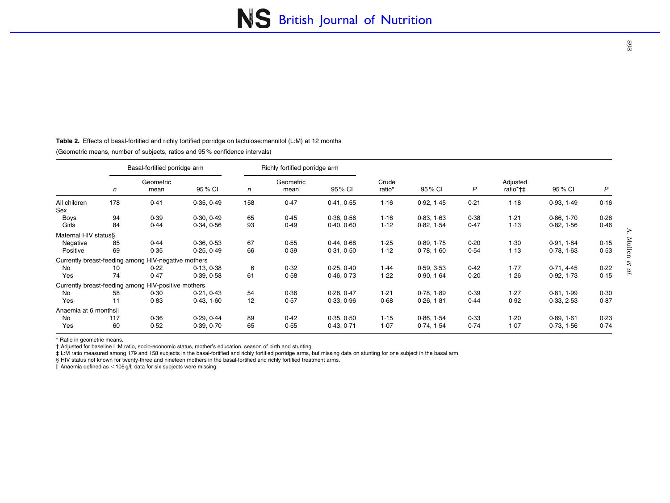### <span id="page-5-0"></span>Table 2. Effects of basal-fortified and richly fortified porridge on lactulose:mannitol (L:M) at 12 months (Geometric means, number of subjects, ratios and 95 % confidence intervals)

|                       | Basal-fortified porridge arm |                                                     |            | Richly fortified porridge arm |                   |            |                 |            |              |                      |            |      |
|-----------------------|------------------------------|-----------------------------------------------------|------------|-------------------------------|-------------------|------------|-----------------|------------|--------------|----------------------|------------|------|
|                       | n                            | Geometric<br>mean                                   | 95 % CI    | n                             | Geometric<br>mean | 95 % CI    | Crude<br>ratio* | 95 % CI    | $\mathsf{P}$ | Adjusted<br>ratio*†‡ | 95 % CI    | P    |
| All children<br>Sex   | 178                          | 0.41                                                | 0.35, 0.49 | 158                           | 0.47              | 0.41, 0.55 | 1.16            | 0.92, 1.45 | 0.21         | 1.18                 | 0.93, 1.49 | 0.16 |
| <b>Boys</b>           | 94                           | 0.39                                                | 0.30, 0.49 | 65                            | 0.45              | 0.36, 0.56 | 1.16            | 0.83, 1.63 | 0.38         | 1.21                 | 0.86, 1.70 | 0.28 |
| Girls                 | 84                           | 0.44                                                | 0.34, 0.56 | 93                            | 0.49              | 0.40, 0.60 | 1.12            | 0.82, 1.54 | 0.47         | 1.13                 | 0.82, 1.56 | 0.46 |
| Maternal HIV status & |                              |                                                     |            |                               |                   |            |                 |            |              |                      |            |      |
| Negative              | 85                           | 0.44                                                | 0.36, 0.53 | 67                            | 0.55              | 0.44.068   | 1.25            | 0.89, 1.75 | 0.20         | 1.30                 | 0.91, 1.84 | 0.15 |
| Positive              | 69                           | 0.35                                                | 0.25, 0.49 | 66                            | 0.39              | 0.31, 0.50 | 1.12            | 0.78, 1.60 | 0.54         | 1.13                 | 0.78, 1.63 | 0.53 |
|                       |                              | Currently breast-feeding among HIV-negative mothers |            |                               |                   |            |                 |            |              |                      |            |      |
| No.                   | 10                           | 0.22                                                | 0.13.0.38  | 6                             | 0.32              | 0.25.0.40  | 1.44            | 0.59.3.53  | 0.42         | 1.77                 | 0.71.445   | 0.22 |
| Yes                   | 74                           | 0.47                                                | 0.39.0.58  | 61                            | 0.58              | 0.46, 0.73 | 1.22            | 0.90, 1.64 | 0.20         | 1.26                 | 0.92, 1.73 | 0.15 |
|                       |                              | Currently breast-feeding among HIV-positive mothers |            |                               |                   |            |                 |            |              |                      |            |      |
| No                    | 58                           | 0.30                                                | 0.21.0.43  | 54                            | 0.36              | 0.28, 0.47 | 1.21            | 0.78, 1.89 | 0.39         | 1.27                 | 0.81, 1.99 | 0.30 |
| Yes                   | 11                           | 0.83                                                | 0.43, 1.60 | 12                            | 0.57              | 0.33, 0.96 | 0.68            | 0.26, 1.81 | 0.44         | 0.92                 | 0.33, 2.53 | 0.87 |
| Anaemia at 6 months   |                              |                                                     |            |                               |                   |            |                 |            |              |                      |            |      |
| No                    | 117                          | 0.36                                                | 0.29, 0.44 | 89                            | 0.42              | 0.35, 0.50 | 1.15            | 0.86, 1.54 | 0.33         | 1.20                 | 0.89, 1.61 | 0.23 |
| Yes                   | 60                           | 0.52                                                | 0.39, 0.70 | 65                            | 0.55              | 0.43, 0.71 | 1.07            | 0.74, 1.54 | 0.74         | 1.07                 | 0.73, 1.56 | 0.74 |

\* Ratio in geometric means.

† Adjusted for baseline L:M ratio, socio-economic status, mother's education, season of birth and stunting.

‡ L:M ratio measured among 179 and 158 subjects in the basal-fortified and richly fortified porridge arms, but missing data on stunting for one subject in the basal arm.

§ HIV status not known for twenty-three and nineteen mothers in the basal-fortified and richly fortified treatment arms.

 $\parallel$  Anaemia defined as < 105 g/l; data for six subjects were missing.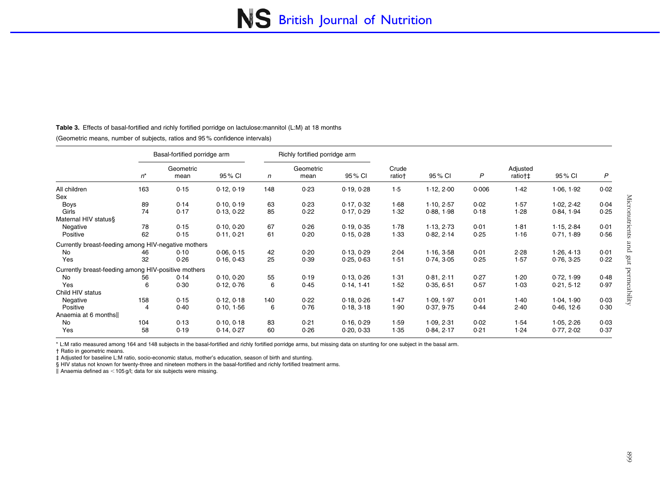#### <span id="page-6-0"></span>Table 3. Effects of basal-fortified and richly fortified porridge on lactulose:mannitol (L:M) at 18 months

(Geometric means, number of subjects, ratios and 95 % confidence intervals)

|                                                     |                | Basal-fortified porridge arm |            |     | Richly fortified porridge arm |            |                 |            |              |                     |            |              |
|-----------------------------------------------------|----------------|------------------------------|------------|-----|-------------------------------|------------|-----------------|------------|--------------|---------------------|------------|--------------|
|                                                     | $n^*$          | Geometric<br>mean            | 95 % CI    | n   | Geometric<br>mean             | 95 % CI    | Crude<br>ratio† | 95 % CI    | $\mathsf{P}$ | Adjusted<br>ratio†‡ | 95 % CI    | $\mathsf{P}$ |
| All children<br>Sex                                 | 163            | 0.15                         | 0.12, 0.19 | 148 | 0.23                          | 0.19, 0.28 | 1.5             | 1.12, 2.00 | 0.006        | 1.42                | 1.06, 1.92 | 0.02         |
| Boys                                                | 89             | 0.14                         | 0.10, 0.19 | 63  | 0.23                          | 0.17.0.32  | 1.68            | 1.10, 2.57 | 0.02         | 1.57                | 1.02, 2.42 | 0.04         |
| Girls                                               | 74             | 0.17                         | 0.13, 0.22 | 85  | 0.22                          | 0.17, 0.29 | 1.32            | 0.88, 1.98 | 0.18         | 1.28                | 0.84, 1.94 | 0.25         |
| Maternal HIV status§                                |                |                              |            |     |                               |            |                 |            |              |                     |            |              |
| Negative                                            | 78             | 0.15                         | 0.10, 0.20 | 67  | 0.26                          | 0.19, 0.35 | 1.78            | 1.13, 2.73 | 0.01         | 1.81                | 1.15, 2.84 | 0.01         |
| Positive                                            | 62             | 0.15                         | 0.11, 0.21 | 61  | 0.20                          | 0.15, 0.28 | 1.33            | 0.82, 2.14 | 0.25         | 1.16                | 0.71, 1.89 | 0.56         |
| Currently breast-feeding among HIV-negative mothers |                |                              |            |     |                               |            |                 |            |              |                     |            |              |
| No                                                  | 46             | 0.10                         | 0.06, 0.15 | 42  | 0.20                          | 0.13, 0.29 | 2.04            | 1.16, 3.58 | 0.01         | 2.28                | 1.26, 4.13 | 0.01         |
| Yes                                                 | 32             | 0.26                         | 0.16, 0.43 | 25  | 0.39                          | 0.25, 0.63 | 1.51            | 0.74, 3.05 | 0.25         | 1.57                | 0.76, 3.25 | 0.22         |
| Currently breast-feeding among HIV-positive mothers |                |                              |            |     |                               |            |                 |            |              |                     |            |              |
| No                                                  | 56             | 0.14                         | 0.10, 0.20 | 55  | 0.19                          | 0.13, 0.26 | 1.31            | 0.81, 2.11 | 0.27         | 1.20                | 0.72, 1.99 | 0.48         |
| Yes                                                 | 6              | 0.30                         | 0.12, 0.76 | 6   | 0.45                          | 0.14, 1.41 | 1.52            | 0.35, 6.51 | 0.57         | 1.03                | 0.21, 5.12 | 0.97         |
| Child HIV status                                    |                |                              |            |     |                               |            |                 |            |              |                     |            |              |
| Negative                                            | 158            | 0.15                         | 0.12, 0.18 | 140 | 0.22                          | 0.18, 0.26 | 1.47            | 1.09, 1.97 | 0.01         | 1.40                | 1.04, 1.90 | 0.03         |
| Positive                                            | $\overline{4}$ | 0.40                         | 0.10, 1.56 | 6   | 0.76                          | 0.18, 3.18 | 1.90            | 0.37, 9.75 | 0.44         | 2.40                | 0.46, 12.6 | 0.30         |
| Anaemia at 6 months                                 |                |                              |            |     |                               |            |                 |            |              |                     |            |              |
| No                                                  | 104            | 0.13                         | 0.10, 0.18 | 83  | 0.21                          | 0.16, 0.29 | 1.59            | 1.09, 2.31 | 0.02         | 1.54                | 1.05, 2.26 | 0.03         |
| Yes                                                 | 58             | 0.19                         | 0.14, 0.27 | 60  | 0.26                          | 0.20, 0.33 | 1.35            | 0.84, 2.17 | 0.21         | 1.24                | 0.77, 2.02 | 0.37         |

\* L:M ratio measured among 164 and 148 subjects in the basal-fortified and richly fortified porridge arms, but missing data on stunting for one subject in the basal arm.

† Ratio in geometric means.

‡ Adjusted for baseline L:M ratio, socio-economic status, mother's education, season of birth and stunting.

§ HIV status not known for twenty-three and nineteen mothers in the basal-fortified and richly fortified treatment arms.

 $\parallel$  Anaemia defined as < 105 g/l; data for six subjects were missing.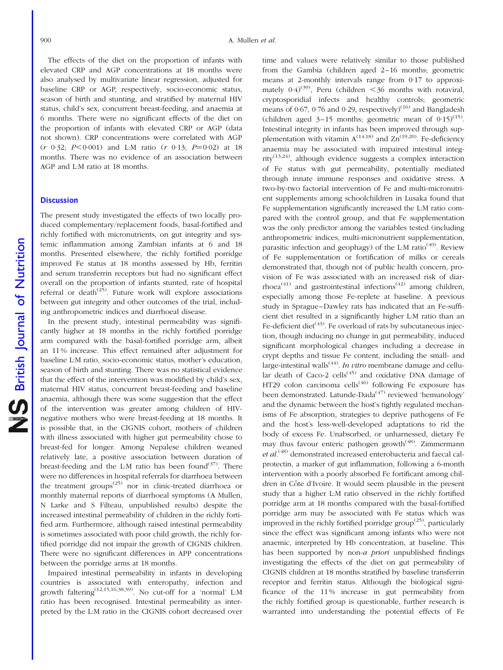The effects of the diet on the proportion of infants with elevated CRP and AGP concentrations at 18 months were also analysed by multivariate linear regression, adjusted for baseline CRP or AGP, respectively, socio-economic status, season of birth and stunting, and stratified by maternal HIV status, child's sex, concurrent breast-feeding, and anaemia at 6 months. There were no significant effects of the diet on the proportion of infants with elevated CRP or AGP (data not shown). CRP concentrations were correlated with AGP  $(r \ 0.32; P \leq 0.001)$  and L:M ratio  $(r \ 0.13; P=0.02)$  at 18 months. There was no evidence of an association between AGP and L:M ratio at 18 months.

## **Discussion**

The present study investigated the effects of two locally produced complementary/replacement foods, basal-fortified and richly fortified with micronutrients, on gut integrity and systemic inflammation among Zambian infants at 6 and 18 months. Presented elsewhere, the richly fortified porridge improved Fe status at 18 months assessed by Hb, ferritin and serum transferrin receptors but had no significant effect overall on the proportion of infants stunted, rate of hospital referral or death<sup> $(25)$ </sup>. Future work will explore associations between gut integrity and other outcomes of the trial, including anthropometric indices and diarrhoeal disease.

In the present study, intestinal permeability was significantly higher at 18 months in the richly fortified porridge arm compared with the basal-fortified porridge arm, albeit an 11 % increase. This effect remained after adjustment for baseline L:M ratio, socio-economic status, mother's education, season of birth and stunting. There was no statistical evidence that the effect of the intervention was modified by child's sex, maternal HIV status, concurrent breast-feeding and baseline anaemia, although there was some suggestion that the effect of the intervention was greater among children of HIVnegative mothers who were breast-feeding at 18 months. It is possible that, in the CIGNIS cohort, mothers of children with illness associated with higher gut permeability chose to breast-fed for longer. Among Nepalese children weaned relatively late, a positive association between duration of breast-feeding and the L:M ratio has been found<sup> $(37)$ </sup>. There were no differences in hospital referrals for diarrhoea between the treatment groups<sup> $(25)$ </sup> nor in clinic-treated diarrhoea or monthly maternal reports of diarrhoeal symptoms (A Mullen, N Larke and S Filteau, unpublished results) despite the increased intestinal permeability of children in the richly fortified arm. Furthermore, although raised intestinal permeability is sometimes associated with poor child growth, the richly fortified porridge did not impair the growth of CIGNIS children. There were no significant differences in APP concentrations between the porridge arms at 18 months.

Impaired intestinal permeability in infants in developing countries is associated with enteropathy, infection and growth faltering(12,15,16,38,39). No cut-off for a 'normal' L:M ratio has been recognised. Intestinal permeability as interpreted by the L:M ratio in the CIGNIS cohort decreased over

time and values were relatively similar to those published from the Gambia (children aged 2–16 months; geometric means at 2-monthly intervals range from 0·17 to approximately  $0.4^{(39)}$ , Peru (children < 36 months with rotaviral, cryptosporidial infects and healthy controls; geometric means of 0.67, 0.76 and 0.29, respectively)<sup>(16)</sup> and Bangladesh (children aged  $3-15$  months; geometric mean of  $0.15)^{(15)}$ . Intestinal integrity in infants has been improved through supplementation with vitamin  $A^{(14,18)}$  and  $Zn^{(19,20)}$ . Fe-deficiency anaemia may be associated with impaired intestinal integrity<sup>(13,24)</sup>, although evidence suggests a complex interaction of Fe status with gut permeability, potentially mediated through innate immune responses and oxidative stress. A two-by-two factorial intervention of Fe and multi-micronutrient supplements among schoolchildren in Lusaka found that Fe supplementation significantly increased the L:M ratio compared with the control group, and that Fe supplementation was the only predictor among the variables tested (including anthropometric indices, multi-micronutrient supplementation, parasitic infection and geophagy) of the L:M ratio<sup>(40)</sup>. Review of Fe supplementation or fortification of milks or cereals demonstrated that, though not of public health concern, provision of Fe was associated with an increased risk of diarrhoea<sup>(41)</sup> and gastrointestinal infections<sup>(42)</sup> among children, especially among those Fe-replete at baseline. A previous study in Sprague–Dawley rats has indicated that an Fe-sufficient diet resulted in a significantly higher L:M ratio than an Fe-deficient diet<sup> $(43)$ </sup>. Fe overload of rats by subcutaneous injection, though inducing no change in gut permeability, induced significant morphological changes including a decrease in crypt depths and tissue Fe content, including the small- and large-intestinal walls<sup> $(44)$ </sup>. In vitro membrane damage and cellular death of Caco-2 cells<sup> $(45)$ </sup> and oxidative DNA damage of HT29 colon carcinoma cells<sup>(46)</sup> following Fe exposure has been demonstrated. Latunde-Dada<sup>(47)</sup> reviewed 'hemunology' and the dynamic between the host's tightly regulated mechanisms of Fe absorption, strategies to deprive pathogens of Fe and the host's less-well-developed adaptations to rid the body of excess Fe. Unabsorbed, or unharnessed, dietary Fe may thus favour enteric pathogen growth<sup> $(48)$ </sup>. Zimmermann et al.<sup>(48)</sup> demonstrated increased enterobacteria and faecal calprotectin, a marker of gut inflammation, following a 6-month intervention with a poorly absorbed Fe fortificant among children in Côte d'Ivoire. It would seem plausible in the present study that a higher L:M ratio observed in the richly fortified porridge arm at 18 months compared with the basal-fortified porridge arm may be associated with Fe status which was improved in the richly fortified porridge group<sup> $(25)$ </sup>, particularly since the effect was significant among infants who were not anaemic, interpreted by Hb concentration, at baseline. This has been supported by non-a priori unpublished findings investigating the effects of the diet on gut permeability of CIGNIS children at 18 months stratified by baseline transferrin receptor and ferritin status. Although the biological significance of the 11 % increase in gut permeability from the richly fortified group is questionable, further research is warranted into understanding the potential effects of Fe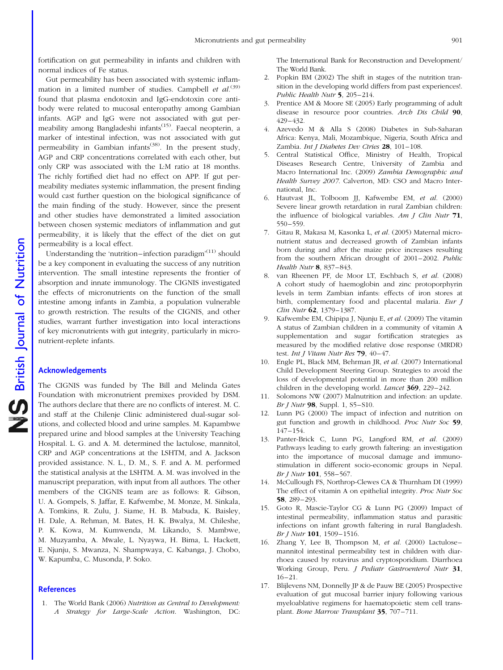fortification on gut permeability in infants and children with normal indices of Fe status.

Gut permeability has been associated with systemic inflammation in a limited number of studies. Campbell et  $al^{(39)}$ found that plasma endotoxin and IgG-endotoxin core antibody were related to mucosal enteropathy among Gambian infants. AGP and IgG were not associated with gut permeability among Bangladeshi infants<sup>(15)</sup>. Faecal neopterin, a marker of intestinal infection, was not associated with gut permeability in Gambian infants<sup> $(38)$ </sup>. In the present study, AGP and CRP concentrations correlated with each other, but only CRP was associated with the L:M ratio at 18 months. The richly fortified diet had no effect on APP. If gut permeability mediates systemic inflammation, the present finding would cast further question on the biological significance of the main finding of the study. However, since the present and other studies have demonstrated a limited association between chosen systemic mediators of inflammation and gut permeability, it is likely that the effect of the diet on gut permeability is a local effect.

Understanding the 'nutrition–infection paradigm'(11) should be a key component in evaluating the success of any nutrition intervention. The small intestine represents the frontier of absorption and innate immunology. The CIGNIS investigated the effects of micronutrients on the function of the small intestine among infants in Zambia, a population vulnerable to growth restriction. The results of the CIGNIS, and other studies, warrant further investigation into local interactions of key micronutrients with gut integrity, particularly in micronutrient-replete infants.

## Acknowledgements

The CIGNIS was funded by The Bill and Melinda Gates Foundation with micronutrient premixes provided by DSM. The authors declare that there are no conflicts of interest. M. C. and staff at the Chilenje Clinic administered dual-sugar solutions, and collected blood and urine samples. M. Kapambwe prepared urine and blood samples at the University Teaching Hospital. L. G. and A. M. determined the lactulose, mannitol, CRP and AGP concentrations at the LSHTM, and A. Jackson provided assistance. N. L., D. M., S. F. and A. M. performed the statistical analysis at the LSHTM. A. M. was involved in the manuscript preparation, with input from all authors. The other members of the CIGNIS team are as follows: R. Gibson, U. A. Gompels, S. Jaffar, E. Kafwembe, M. Monze, M. Sinkala, A. Tomkins, R. Zulu, J. Siame, H. B. Mabuda, K. Baisley, H. Dale, A. Rehman, M. Bates, H. K. Bwalya, M. Chileshe, P. K. Kowa, M. Kumwenda, M. Likando, S. Mambwe, M. Muzyamba, A. Mwale, L. Nyaywa, H. Bima, L. Hackett, E. Njunju, S. Mwanza, N. Shampwaya, C. Kabanga, J. Chobo, W. Kapumba, C. Musonda, P. Soko.

## **References**

1. The World Bank (2006) Nutrition as Central to Development: A Strategy for Large-Scale Action. Washington, DC: The International Bank for Reconstruction and Development/ The World Bank.

- 2. Popkin BM (2002) The shift in stages of the nutrition transition in the developing world differs from past experiences!. Public Health Nutr 5, 205-214.
- 3. Prentice AM & Moore SE (2005) Early programming of adult disease in resource poor countries. Arch Dis Child 90, 429–432.
- 4. Azevedo M & Alla S (2008) Diabetes in Sub-Saharan Africa: Kenya, Mali, Mozambique, Nigeria, South Africa and Zambia. Int J Diabetes Dev Ctries  $28$ ,  $101-108$ .
- 5. Central Statistical Office, Ministry of Health, Tropical Diseases Research Centre, University of Zambia and Macro International Inc. (2009) Zambia Demographic and Health Survey 2007. Calverton, MD: CSO and Macro International, Inc.
- 6. Hautvast JL, Tolboom JJ, Kafwembe EM, et al. (2000) Severe linear growth retardation in rural Zambian children: the influence of biological variables. Am  $J$  Clin Nutr 71, 550–559.
- 7. Gitau R, Makasa M, Kasonka L, et al. (2005) Maternal micronutrient status and decreased growth of Zambian infants born during and after the maize price increases resulting from the southern African drought of 2001–2002. Public Health Nutr 8, 837-843.
- 8. van Rheenen PF, de Moor LT, Eschbach S, et al. (2008) A cohort study of haemoglobin and zinc protoporphyrin levels in term Zambian infants: effects of iron stores at birth, complementary food and placental malaria. Eur J Clin Nutr 62, 1379–1387.
- 9. Kafwembe EM, Chipipa J, Njunju E, et al. (2009) The vitamin A status of Zambian children in a community of vitamin A supplementation and sugar fortification strategies as measured by the modified relative dose response (MRDR) test. Int J Vitam Nutr Res 79, 40-47.
- 10. Engle PL, Black MM, Behrman JR, et al. (2007) International Child Development Steering Group. Strategies to avoid the loss of developmental potential in more than 200 million children in the developing world. Lancet 369, 229–242.
- 11. Solomons NW (2007) Malnutrition and infection: an update. Br J Nutr 98, Suppl. 1, S5-S10.
- 12. Lunn PG (2000) The impact of infection and nutrition on gut function and growth in childhood. Proc Nutr Soc 59, 147–154.
- 13. Panter-Brick C, Lunn PG, Langford RM, et al. (2009) Pathways leading to early growth faltering: an investigation into the importance of mucosal damage and immunostimulation in different socio-economic groups in Nepal. Br I Nutr 101, 558-567.
- 14. McCullough FS, Northrop-Clewes CA & Thurnham DI (1999) The effect of vitamin A on epithelial integrity. Proc Nutr Soc 58, 289–293.
- 15. Goto R, Mascie-Taylor CG & Lunn PG (2009) Impact of intestinal permeability, inflammation status and parasitic infections on infant growth faltering in rural Bangladesh. Br J Nutr 101, 1509–1516.
- 16. Zhang Y, Lee B, Thompson M, et al. (2000) Lactulose– mannitol intestinal permeability test in children with diarrhoea caused by rotavirus and cryptosporidium. Diarrhoea Working Group, Peru. J Pediatr Gastroenterol Nutr 31, 16–21.
- 17. Blijlevens NM, Donnelly JP & de Pauw BE (2005) Prospective evaluation of gut mucosal barrier injury following various myeloablative regimens for haematopoietic stem cell transplant. Bone Marrow Transplant 35, 707–711.